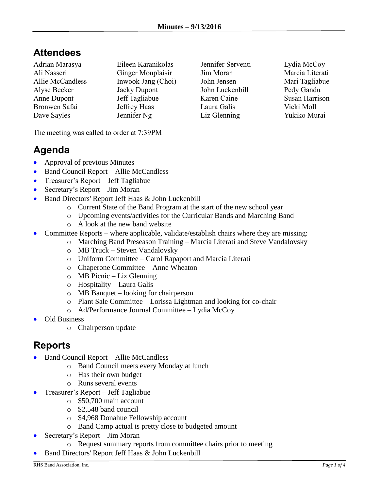# **Attendees**

Adrian Marasya Ali Nasseri Allie McCandless Alyse Becker Anne Dupont Bronwen Safai Dave Sayles

Eileen Karanikolas Ginger Monplaisir Inwook Jang (Choi) Jacky Dupont Jeff Tagliabue Jeffrey Haas Jennifer Ng

Jennifer Serventi Jim Moran John Jensen John Luckenbill Karen Caine Laura Galis Liz Glenning

Lydia McCoy Marcia Literati Mari Tagliabue Pedy Gandu Susan Harrison Vicki Moll Yukiko Murai

The meeting was called to order at 7:39PM

### **Agenda**

- Approval of previous Minutes
- Band Council Report Allie McCandless
- Treasurer's Report Jeff Tagliabue
- Secretary's Report Jim Moran
- Band Directors' Report Jeff Haas & John Luckenbill
	- o Current State of the Band Program at the start of the new school year
	- o Upcoming events/activities for the Curricular Bands and Marching Band
	- o A look at the new band website
- Committee Reports where applicable, validate/establish chairs where they are missing:
	- o Marching Band Preseason Training Marcia Literati and Steve Vandalovsky
		- o MB Truck Steven Vandalovsky
		- o Uniform Committee Carol Rapaport and Marcia Literati
		- o Chaperone Committee Anne Wheaton
		- o MB Picnic Liz Glenning
		- o Hospitality Laura Galis
		- o MB Banquet looking for chairperson
		- o Plant Sale Committee Lorissa Lightman and looking for co-chair
		- o Ad/Performance Journal Committee Lydia McCoy
- Old Business
	- o Chairperson update

# **Reports**

- Band Council Report Allie McCandless
	- o Band Council meets every Monday at lunch
	- o Has their own budget
	- o Runs several events
- Treasurer's Report Jeff Tagliabue
	- o \$50,700 main account
	- o \$2,548 band council
	- o \$4,968 Donahue Fellowship account
	- o Band Camp actual is pretty close to budgeted amount
- Secretary's Report Jim Moran
	- o Request summary reports from committee chairs prior to meeting
- Band Directors' Report Jeff Haas & John Luckenbill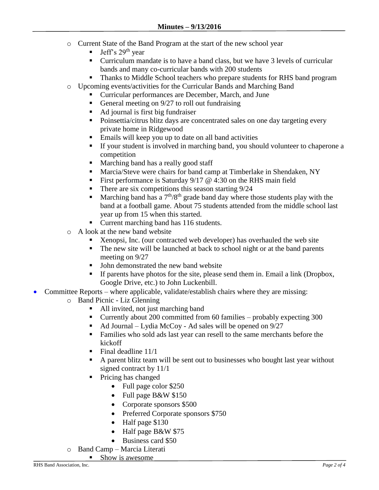- o Current State of the Band Program at the start of the new school year
	- Jeff's 29th year
	- Curriculum mandate is to have a band class, but we have 3 levels of curricular bands and many co-curricular bands with 200 students
	- Thanks to Middle School teachers who prepare students for RHS band program
- o Upcoming events/activities for the Curricular Bands and Marching Band
	- **Curricular performances are December, March, and June**
	- General meeting on  $9/27$  to roll out fundraising
	- Ad journal is first big fundraiser
	- Poinsettia/citrus blitz days are concentrated sales on one day targeting every private home in Ridgewood
	- Emails will keep you up to date on all band activities
	- If your student is involved in marching band, you should volunteer to chaperone a competition
	- **Marching band has a really good staff**
	- Marcia/Steve were chairs for band camp at Timberlake in Shendaken, NY
	- First performance is Saturday  $9/17$  @ 4:30 on the RHS main field
	- There are six competitions this season starting  $9/24$
	- **Marching band has a**  $7^{\text{th}}/8^{\text{th}}$  grade band day where those students play with the band at a football game. About 75 students attended from the middle school last year up from 15 when this started.
	- Current marching band has 116 students.
- o A look at the new band website
	- Xenopsi, Inc. (our contracted web developer) has overhauled the web site
	- The new site will be launched at back to school night or at the band parents meeting on 9/27
	- John demonstrated the new band website
	- If parents have photos for the site, please send them in. Email a link (Dropbox, Google Drive, etc.) to John Luckenbill.
- Committee Reports where applicable, validate/establish chairs where they are missing:
	- o Band Picnic Liz Glenning
		- All invited, not just marching band
		- Currently about 200 committed from 60 families probably expecting 300
		- $\blacktriangleleft$  Ad Journal Lydia McCoy Ad sales will be opened on 9/27
		- Families who sold ads last year can resell to the same merchants before the kickoff
		- Final deadline  $11/1$
		- A parent blitz team will be sent out to businesses who bought last year without signed contract by 11/1
		- Pricing has changed
			- Full page color \$250
			- Full page B&W \$150
			- Corporate sponsors \$500
			- Preferred Corporate sponsors \$750
			- Half page \$130
			- Half page B&W \$75
			- Business card \$50
	- o Band Camp Marcia Literati

Show is awesome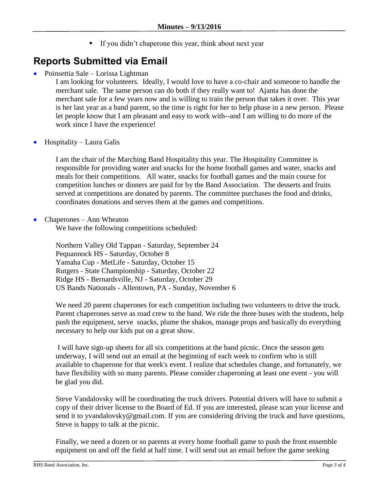If you didn't chaperone this year, think about next year

# **Reports Submitted via Email**

Poinsettia Sale – Lorissa Lightman

I am looking for volunteers. Ideally, I would love to have a co-chair and someone to handle the merchant sale. The same person can do both if they really want to! Ajanta has done the merchant sale for a few years now and is willing to train the person that takes it over. This year is her last year as a band parent, so the time is right for her to help phase in a new person. Please let people know that I am pleasant and easy to work with--and I am willing to do more of the work since I have the experience!

Hospitality – Laura Galis

I am the chair of the Marching Band Hospitality this year. The Hospitality Committee is responsible for providing water and snacks for the home football games and water, snacks and meals for their competitions. All water, snacks for football games and the main course for competition lunches or dinners are paid for by the Band Association. The desserts and fruits served at competitions are donated by parents. The committee purchases the food and drinks, coordinates donations and serves them at the games and competitions.

Chaperones – Ann Wheaton

We have the following competitions scheduled:

Northern Valley Old Tappan - Saturday, September 24 Pequannock HS - Saturday, October 8 Yamaha Cup - MetLife - Saturday, October 15 Rutgers - State Championship - Saturday, October 22 Ridge HS - Bernardsville, NJ - Saturday, October 29 US Bands Nationals - Allentown, PA - Sunday, November 6

We need 20 parent chaperones for each competition including two volunteers to drive the truck. Parent chaperones serve as road crew to the band. We ride the three buses with the students, help push the equipment, serve snacks, plume the shakos, manage props and basically do everything necessary to help our kids put on a great show.

I will have sign-up sheets for all six competitions at the band picnic. Once the season gets underway, I will send out an email at the beginning of each week to confirm who is still available to chaperone for that week's event. I realize that schedules change, and fortunately, we have flexibility with so many parents. Please consider chaperoning at least one event - you will be glad you did.

Steve Vandalovsky will be coordinating the truck drivers. Potential drivers will have to submit a copy of their driver license to the Board of Ed. If you are interested, please scan your license and send it to yvandalovsky@gmail.com. If you are considering driving the truck and have questions, Steve is happy to talk at the picnic.

Finally, we need a dozen or so parents at every home football game to push the front ensemble equipment on and off the field at half time. I will send out an email before the game seeking